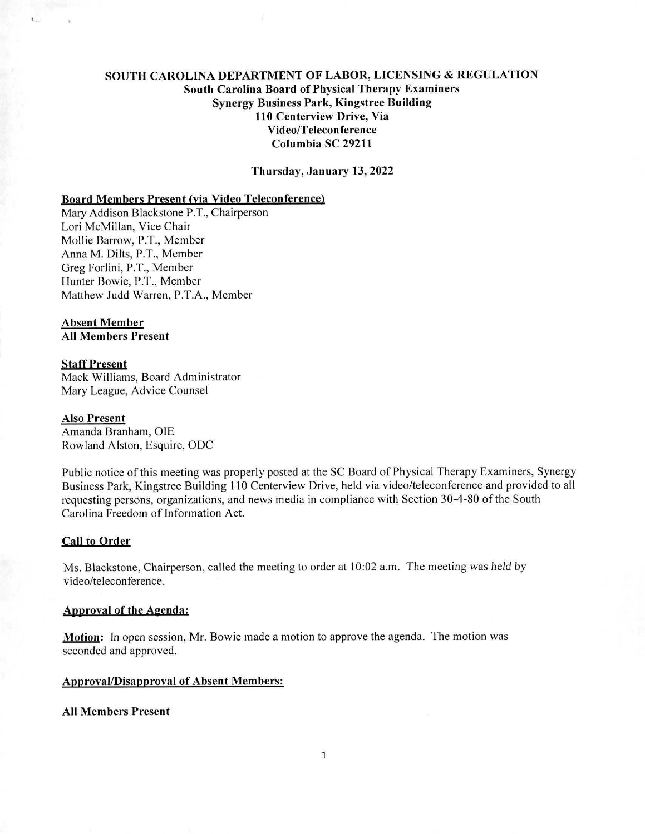# SOUTH CAROLINA DEPARTMENT OF LABOR, LICENSING & REGULATION South Carolina Board of Physical Therapy Examiners Synergy Business Park, Kingstree Building 110 Centerview Drive, Via Video/Teleconference Columbia SC 29211

Thursday, January 13, 2022

# Board Members Present (via Video Teleconference)

Mary Addison Blackstone P.T., Chairperson Lori McMillan, Vice Chair Mollie Barrow, P.T., Member Anna M. Dilts, P.T., Member Greg Forlini, P.T., Member Hunter Bowie, P.T., Member Matthew Judd Warren, P.T.A., Member

#### Absent Member All Members Present

## Staff Present

Mack Williams, Board Administrator Mary League, Advice Counsel

#### Also Present

Amanda Branham, OIE Rowland Alston, Esquire, ODC

Public notice of this meeting was properly posted at the SC Board of Physical Therapy Examiners, Synergy Business Park, Kingstree Building 110 Centerview Drive, held via video/teleconference and provided to all requesting persons, organizations, and news media in compliance with Section 30-4-80 of the South Carolina Freedom of Information Act.

#### Call to Order

Ms. Blackstone, Chairperson, called the meeting to order at 10:02 a.m. The meeting was held by video/teleconference.

#### Approval of the Agenda:

Motion: In open session, Mr. Bowie made a motion to approve the agenda. The motion was seconded and approved.

## Approval/Disapproval of Absent Members:

## All Members Present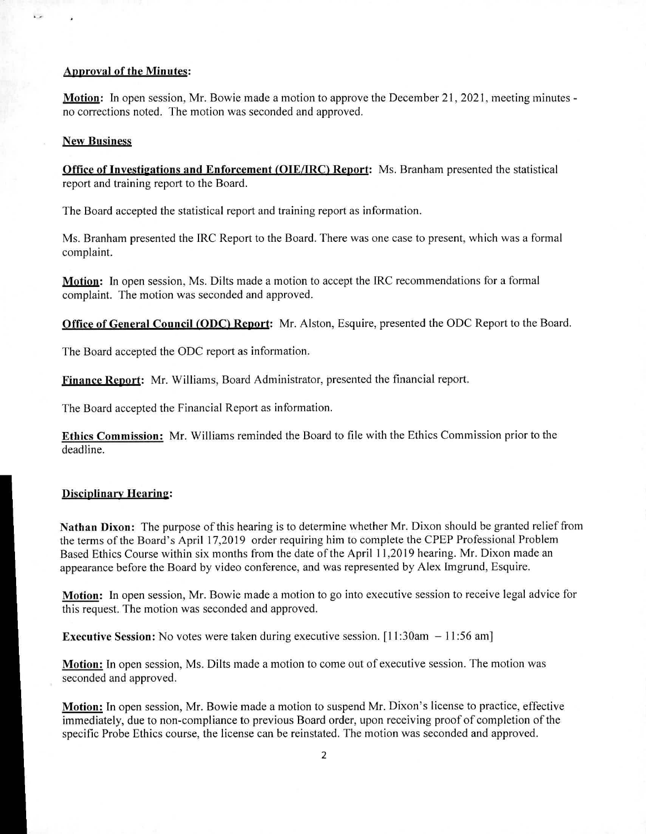### Anoroval of the Minutes:

Motion: In open session, Mr. Bowie made a motion to approve the December 21, 2021, meeting minutes no corrections noted. The motion was seconded and approved.

### New Business

i.

Office of Investigations and Enforcement (OIE/IRC) Report: Ms. Branham presented the statistical report and training report to the Board.

The Board accepted the statistical report and training report as information.

Ms. Branham presented the IRC Report to the Board. There was one case to present, which was a formal complaint.

Motion: In open session, Ms. Dilts made a motion to accept the IRC recommendations for a formal complaint. The motion was seconded and approved.

Office of General Council (ODC) Report: Mr. Alston, Esquire, presented the ODC Report to the Board.

The Board accepted the ODC report as information.

Finance Renort: Mr. Williams, Board Administrator, presented the financial report.

The Board accepted the Financial Report as information.

Ethics Commission: Mr. Williams reminded the Board to file with the Ethics Commission prior to the deadline.

## **Disciplinary Hearing:**

Nathan Dixon: The purpose of this hearing is to determine whether Mr. Dixon should be granted relief from the terms of the Board's April 17,2019 order requiring him to complete the CPEP Professional Problem Based Ethics Course within six months from the date of the April 11,2019 hearing. Mr. Dixon made an appearance before the Board by video conference, and was represented by Alex Imgrund, Esquire.

Motion: In open session, Mr. Bowie made a motion to go into executive session to receive legal advice for this request. The motion was seconded and approved.

**Executive Session:** No votes were taken during executive session. [11:30am  $-11:56$  am]

Motion: In open session, Ms. Dilts made a motion to come out of executive session. The motion was seconded and approved.

Motion: In open session, Mr. Bowie made a motion to suspend Mr. Dixon's license to practice, effective immediately, due to non-compliance to previous Board order, upon receiving proof of completion of the specific Probe Ethics course, the license can be reinstated. The motion was seconded and approved.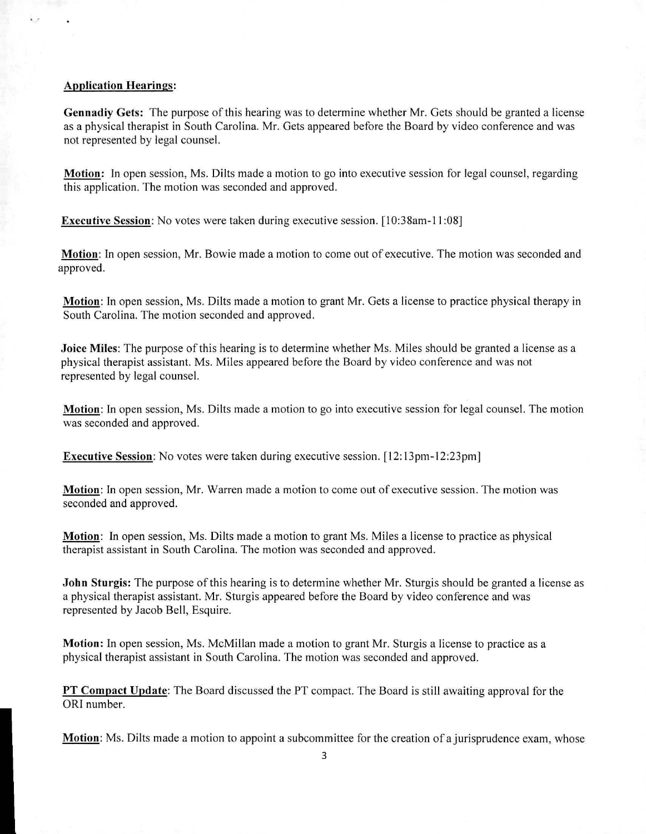# Application Hearings:

Gennadiy Gets: The purpose of this hearing was to determine whether Mr. Gets should be granted a license as a physical therapist in South Carolina. Mr. Gets appeared before the Board by video conference and was not represented by legal counsel.

**Motion:** In open session, Ms. Dilts made a motion to go into executive session for legal counsel, regarding this application. The motion was seconded and approved.

**Executive Session:** No votes were taken during executive session. [10:38am-11:08]

**Motion:** In open session, Mr. Bowie made a motion to come out of executive. The motion was seconded and approved.

**Motion:** In open session, Ms. Dilts made a motion to grant Mr. Gets a license to practice physical therapy in South Carolina. The motion seconded and approved.

**Joice Miles:** The purpose of this hearing is to determine whether Ms. Miles should be granted a license as a physical therapist assistant. Ms. Miles appeared before the Board by video conference and was not represented by legal counsel.

**Motion:** In open session, Ms. Dilts made a motion to go into executive session for legal counsel. The motion was seconded and approved.

**Executive Session:** No votes were taken during executive session. [12:13pm-12:23pm]

**Motion:** In open session, Mr. Warren made a motion to come out of executive session. The motion was seconded and approved.

**Motion:** In open session, Ms. Dilts made a motion to grant Ms. Miles a license to practice as physical therapist assistant in South Carolina. The motion was seconded and approved.

**John Sturgis:** The purpose of this hearing is to determine whether Mr. Sturgis should be granted a license as a physical therapist assistant. Mr. Sturgis appeared before the Board by video conference and was represented by Jacob Bell, Esquire.

**Motion:** In open session, Ms. McMillan made a motion to grant Mr. Sturgis a license to practice as a physical therapist assistant in South Carolina. The motion was seconded and approved.

**PT Compact Update:** The Board discussed the PT compact. The Board is still awaiting approval for the ORI number.

**Motion:** Ms. Dilts made a motion to appoint a subcommittee for the creation of a jurisprudence exam, whose